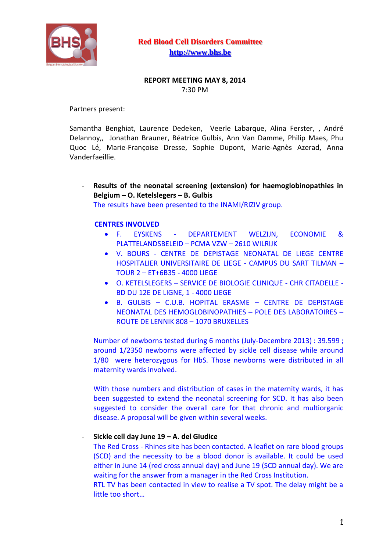

## **REPORT MEETING MAY 8, 2014** 7:30 PM

Partners present:

Samantha Benghiat, Laurence Dedeken, Veerle Labarque, Alina Ferster, , André Delannoy,, Jonathan Brauner, Béatrice Gulbis, Ann Van Damme, Philip Maes, Phu Quoc Lé, Marie-Françoise Dresse, Sophie Dupont, Marie-Agnès Azerad, Anna Vanderfaeillie.

- **Results of the neonatal screening (extension) for haemoglobinopathies in Belgium – O. Ketelslegers – B. Gulbis**

The results have been presented to the INAMI/RIZIV group.

## **CENTRES INVOLVED**

- F. EYSKENS DEPARTEMENT WELZIJN, ECONOMIE & PLATTELANDSBELEID – PCMA VZW – 2610 WILRIJK
- V. BOURS CENTRE DE DEPISTAGE NEONATAL DE LIEGE CENTRE HOSPITALIER UNIVERSITAIRE DE LIEGE - CAMPUS DU SART TILMAN – TOUR 2 – ET+6B35 - 4000 LIEGE
- O. KETELSLEGERS SERVICE DE BIOLOGIE CLINIQUE CHR CITADELLE BD DU 12E DE LIGNE, 1 - 4000 LIEGE
- B. GULBIS C.U.B. HOPITAL ERASME CENTRE DE DEPISTAGE NEONATAL DES HEMOGLOBINOPATHIES – POLE DES LABORATOIRES – ROUTE DE LENNIK 808 – 1070 BRUXELLES

Number of newborns tested during 6 months (July-Decembre 2013) : 39.599 ; around 1/2350 newborns were affected by sickle cell disease while around 1/80 were heterozygous for HbS. Those newborns were distributed in all maternity wards involved.

With those numbers and distribution of cases in the maternity wards, it has been suggested to extend the neonatal screening for SCD. It has also been suggested to consider the overall care for that chronic and multiorganic disease. A proposal will be given within several weeks.

- **Sickle cell day June 19 – A. del Giudice**

The Red Cross - Rhines site has been contacted. A leaflet on rare blood groups (SCD) and the necessity to be a blood donor is available. It could be used either in June 14 (red cross annual day) and June 19 (SCD annual day). We are waiting for the answer from a manager in the Red Cross Institution.

RTL TV has been contacted in view to realise a TV spot. The delay might be a little too short…